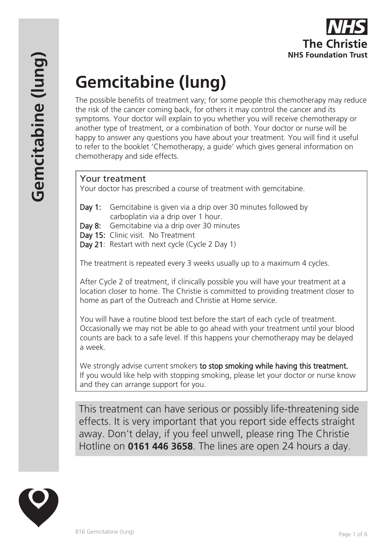# **Gemcitabine (lung)**

The possible benefits of treatment vary; for some people this chemotherapy may reduce the risk of the cancer coming back, for others it may control the cancer and its symptoms. Your doctor will explain to you whether you will receive chemotherapy or another type of treatment, or a combination of both. Your doctor or nurse will be happy to answer any questions you have about your treatment. You will find it useful to refer to the booklet 'Chemotherapy, a guide' which gives general information on chemotherapy and side effects.

## Your treatment

Your doctor has prescribed a course of treatment with gemcitabine.

- Day 1: Gemcitabine is given via a drip over 30 minutes followed by carboplatin via a drip over 1 hour.
- Day 8: Gemcitabine via a drip over 30 minutes
- Day 15: Clinic visit. No Treatment
- Day 21: Restart with next cycle (Cycle 2 Day 1)

The treatment is repeated every 3 weeks usually up to a maximum 4 cycles.

After Cycle 2 of treatment, if clinically possible you will have your treatment at a location closer to home. The Christie is committed to providing treatment closer to home as part of the Outreach and Christie at Home service.

You will have a routine blood test before the start of each cycle of treatment. Occasionally we may not be able to go ahead with your treatment until your blood counts are back to a safe level. If this happens your chemotherapy may be delayed a week.

We strongly advise current smokers to stop smoking while having this treatment. If you would like help with stopping smoking, please let your doctor or nurse know and they can arrange support for you.

This treatment can have serious or possibly life-threatening side effects. It is very important that you report side effects straight away. Don't delay, if you feel unwell, please ring The Christie Hotline on **0161 446 3658**. The lines are open 24 hours a day.

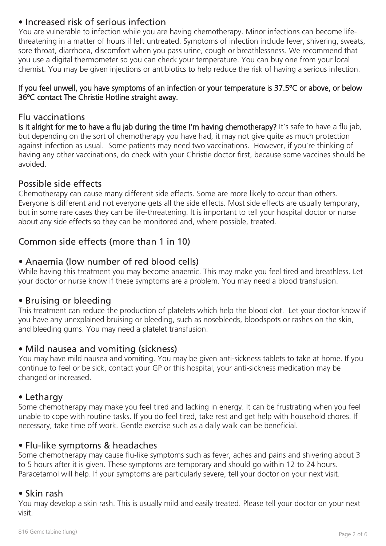## • Increased risk of serious infection

You are vulnerable to infection while you are having chemotherapy. Minor infections can become lifethreatening in a matter of hours if left untreated. Symptoms of infection include fever, shivering, sweats, sore throat, diarrhoea, discomfort when you pass urine, cough or breathlessness. We recommend that you use a digital thermometer so you can check your temperature. You can buy one from your local chemist. You may be given injections or antibiotics to help reduce the risk of having a serious infection.

#### If you feel unwell, you have symptoms of an infection or your temperature is 37.5ºC or above, or below 36ºC contact The Christie Hotline straight away.

#### Flu vaccinations

Is it alright for me to have a flu jab during the time I'm having chemotherapy? It's safe to have a flu jab, but depending on the sort of chemotherapy you have had, it may not give quite as much protection against infection as usual. Some patients may need two vaccinations. However, if you're thinking of having any other vaccinations, do check with your Christie doctor first, because some vaccines should be avoided.

## Possible side effects

Chemotherapy can cause many different side effects. Some are more likely to occur than others. Everyone is different and not everyone gets all the side effects. Most side effects are usually temporary, but in some rare cases they can be life-threatening. It is important to tell your hospital doctor or nurse about any side effects so they can be monitored and, where possible, treated.

# Common side effects (more than 1 in 10)

## • Anaemia (low number of red blood cells)

While having this treatment you may become anaemic. This may make you feel tired and breathless. Let your doctor or nurse know if these symptoms are a problem. You may need a blood transfusion.

#### • Bruising or bleeding

This treatment can reduce the production of platelets which help the blood clot. Let your doctor know if you have any unexplained bruising or bleeding, such as nosebleeds, bloodspots or rashes on the skin, and bleeding gums. You may need a platelet transfusion.

#### • Mild nausea and vomiting (sickness)

You may have mild nausea and vomiting. You may be given anti-sickness tablets to take at home. If you continue to feel or be sick, contact your GP or this hospital, your anti-sickness medication may be changed or increased.

#### • Lethargy

Some chemotherapy may make you feel tired and lacking in energy. It can be frustrating when you feel unable to cope with routine tasks. If you do feel tired, take rest and get help with household chores. If necessary, take time off work. Gentle exercise such as a daily walk can be beneficial.

#### • Flu-like symptoms & headaches

Some chemotherapy may cause flu-like symptoms such as fever, aches and pains and shivering about 3 to 5 hours after it is given. These symptoms are temporary and should go within 12 to 24 hours. Paracetamol will help. If your symptoms are particularly severe, tell your doctor on your next visit.

#### • Skin rash

You may develop a skin rash. This is usually mild and easily treated. Please tell your doctor on your next visit.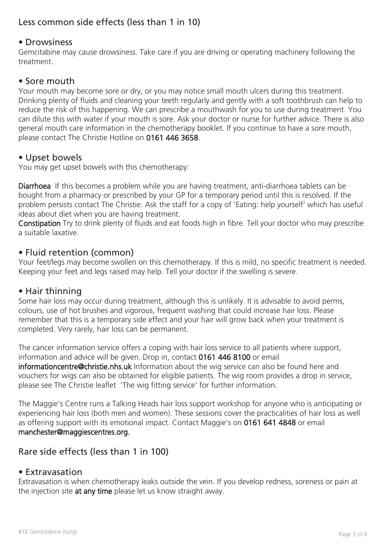# Less common side effects (less than 1 in 10)

#### • Drowsiness

Gemcitabine may cause drowsiness. Take care if you are driving or operating machinery following the treatment.

#### • Sore mouth

Your mouth may become sore or dry, or you may notice small mouth ulcers during this treatment. Drinking plenty of fluids and cleaning your teeth regularly and gently with a soft toothbrush can help to reduce the risk of this happening. We can prescribe a mouthwash for you to use during treatment. You can dilute this with water if your mouth is sore. Ask your doctor or nurse for further advice. There is also general mouth care information in the chemotherapy booklet. If you continue to have a sore mouth, please contact The Christie Hotline on 0161 446 3658.

#### • Upset bowels

You may get upset bowels with this chemotherapy:

Diarrhoea If this becomes a problem while you are having treatment, anti-diarrhoea tablets can be bought from a pharmacy or prescribed by your GP for a temporary period until this is resolved. If the problem persists contact The Christie. Ask the staff for a copy of 'Eating: help yourself' which has useful ideas about diet when you are having treatment.

Constipation Try to drink plenty of fluids and eat foods high in fibre. Tell your doctor who may prescribe a suitable laxative.

#### • Fluid retention (common)

Your feet/legs may become swollen on this chemotherapy. If this is mild, no specific treatment is needed. Keeping your feet and legs raised may help. Tell your doctor if the swelling is severe.

#### • Hair thinning

Some hair loss may occur during treatment, although this is unlikely. It is advisable to avoid perms, colours, use of hot brushes and vigorous, frequent washing that could increase hair loss. Please remember that this is a temporary side effect and your hair will grow back when your treatment is completed. Very rarely, hair loss can be permanent.

The cancer information service offers a coping with hair loss service to all patients where support, information and advice will be given. Drop in, contact 0161 446 8100 or email informationcentre@christie.nhs.uk Information about the wig service can also be found here and vouchers for wigs can also be obtained for eligible patients. The wig room provides a drop in service, please see The Christie leaflet 'The wig fitting service' for further information.

The Maggie's Centre runs a Talking Heads hair loss support workshop for anyone who is anticipating or experiencing hair loss (both men and women). These sessions cover the practicalities of hair loss as well as offering support with its emotional impact. Contact Maggie's on 0161 641 4848 or email manchester@maggiescentres.org.

## Rare side effects (less than 1 in 100)

#### • Extravasation

Extravasation is when chemotherapy leaks outside the vein. If you develop redness, soreness or pain at the injection site at any time please let us know straight away.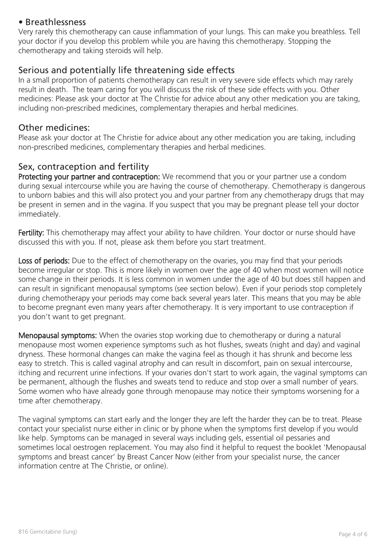#### • Breathlessness

Very rarely this chemotherapy can cause inflammation of your lungs. This can make you breathless. Tell your doctor if you develop this problem while you are having this chemotherapy. Stopping the chemotherapy and taking steroids will help.

#### Serious and potentially life threatening side effects

In a small proportion of patients chemotherapy can result in very severe side effects which may rarely result in death. The team caring for you will discuss the risk of these side effects with you. Other medicines: Please ask your doctor at The Christie for advice about any other medication you are taking, including non-prescribed medicines, complementary therapies and herbal medicines.

#### Other medicines:

Please ask your doctor at The Christie for advice about any other medication you are taking, including non-prescribed medicines, complementary therapies and herbal medicines.

## Sex, contraception and fertility

Protecting your partner and contraception: We recommend that you or your partner use a condom during sexual intercourse while you are having the course of chemotherapy. Chemotherapy is dangerous to unborn babies and this will also protect you and your partner from any chemotherapy drugs that may be present in semen and in the vagina. If you suspect that you may be pregnant please tell your doctor immediately.

Fertility: This chemotherapy may affect your ability to have children. Your doctor or nurse should have discussed this with you. If not, please ask them before you start treatment.

Loss of periods: Due to the effect of chemotherapy on the ovaries, you may find that your periods become irregular or stop. This is more likely in women over the age of 40 when most women will notice some change in their periods. It is less common in women under the age of 40 but does still happen and can result in significant menopausal symptoms (see section below). Even if your periods stop completely during chemotherapy your periods may come back several years later. This means that you may be able to become pregnant even many years after chemotherapy. It is very important to use contraception if you don't want to get pregnant.

Menopausal symptoms: When the ovaries stop working due to chemotherapy or during a natural menopause most women experience symptoms such as hot flushes, sweats (night and day) and vaginal dryness. These hormonal changes can make the vagina feel as though it has shrunk and become less easy to stretch. This is called vaginal atrophy and can result in discomfort, pain on sexual intercourse, itching and recurrent urine infections. If your ovaries don't start to work again, the vaginal symptoms can be permanent, although the flushes and sweats tend to reduce and stop over a small number of years. Some women who have already gone through menopause may notice their symptoms worsening for a time after chemotherapy.

The vaginal symptoms can start early and the longer they are left the harder they can be to treat. Please contact your specialist nurse either in clinic or by phone when the symptoms first develop if you would like help. Symptoms can be managed in several ways including gels, essential oil pessaries and sometimes local oestrogen replacement. You may also find it helpful to request the booklet 'Menopausal symptoms and breast cancer' by Breast Cancer Now (either from your specialist nurse, the cancer information centre at The Christie, or online).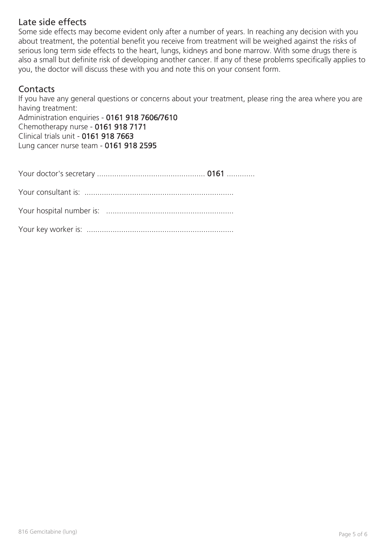## Late side effects

Some side effects may become evident only after a number of years. In reaching any decision with you about treatment, the potential benefit you receive from treatment will be weighed against the risks of serious long term side effects to the heart, lungs, kidneys and bone marrow. With some drugs there is also a small but definite risk of developing another cancer. If any of these problems specifically applies to you, the doctor will discuss these with you and note this on your consent form.

## **Contacts**

If you have any general questions or concerns about your treatment, please ring the area where you are having treatment:

Administration enquiries - 0161 918 7606/7610 Chemotherapy nurse - 0161 918 7171 Clinical trials unit - 0161 918 7663 Lung cancer nurse team - 0161 918 2595

Your doctor's secretary .................................................. 0161 .............

Your consultant is: .....................................................................

Your hospital number is: ...........................................................

Your key worker is: ....................................................................